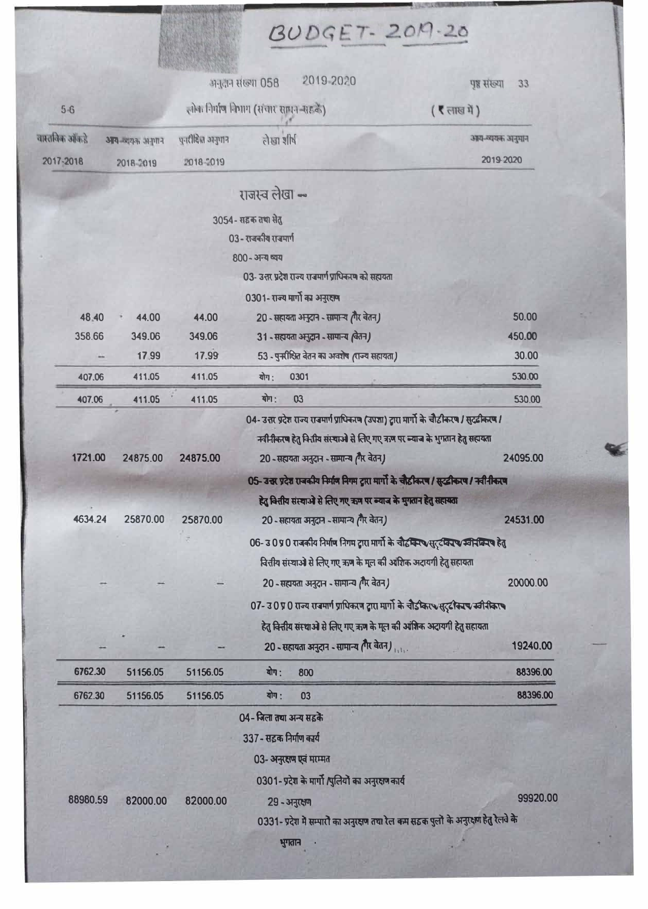## BUDGET-2019-20

2019 2020  $33.1213$   $\overline{13}$   $\overline{13}$   $\overline{21}$   $\overline{21}$   $\overline{21}$   $\overline{21}$   $\overline{21}$   $\overline{21}$   $\overline{21}$   $\overline{21}$   $\overline{21}$   $\overline{21}$   $\overline{21}$   $\overline{21}$   $\overline{21}$   $\overline{21}$   $\overline{21}$   $\overline{21}$   $\overline{21}$   $\overline{21}$   $\overline{21}$ 

 $\frac{1}{2}$   $\frac{1}{2}$   $\frac{1}{2}$   $\frac{1}{2}$   $\frac{1}{2}$   $\frac{1}{2}$   $\frac{1}{2}$   $\frac{1}{2}$   $\frac{1}{2}$   $\frac{1}{2}$   $\frac{1}{2}$   $\frac{1}{2}$   $\frac{1}{2}$   $\frac{1}{2}$   $\frac{1}{2}$   $\frac{1}{2}$   $\frac{1}{2}$   $\frac{1}{2}$   $\frac{1}{2}$   $\frac{1}{2}$   $\frac{1}{2}$   $\frac{1}{2}$ 

|               |                                     | הראית מפית טסט  | $1870 - 11$<br>$\sim$                                                                   |                                                                                      |  |
|---------------|-------------------------------------|-----------------|-----------------------------------------------------------------------------------------|--------------------------------------------------------------------------------------|--|
| $5-6$         | लोक निर्माण विभाग (संचार साधन-सहके) |                 |                                                                                         | ( र लाख में)                                                                         |  |
| वास्तविक ऑकडे | अय-बायक अनुपान                      | पुनरीदित अनुभान | तेखा शीर्ष                                                                              | अग-व्ययक अनुमान                                                                      |  |
| 2017-2018     | 2018-2019                           | 2018-2019       |                                                                                         | 2019-2020                                                                            |  |
|               |                                     |                 | राजस्व लेखा -                                                                           |                                                                                      |  |
|               |                                     |                 |                                                                                         |                                                                                      |  |
|               |                                     |                 | 3054 - राहक तथा सेतु                                                                    |                                                                                      |  |
|               |                                     |                 | 03- राजकीय राजमार्ग                                                                     |                                                                                      |  |
|               |                                     |                 | 800 - अन्य ष्यय                                                                         |                                                                                      |  |
|               |                                     |                 | 03- उत्तर प्रदेश राज्य राजमार्ग प्राधिकरण को सहायता                                     |                                                                                      |  |
|               |                                     |                 | 0301- राज्य मार्गो का अनुरक्षम                                                          |                                                                                      |  |
| 48.40         | 44.00                               | 44.00           | 20 - सहायता अनुदान - सामान्य (गैर वेतन)                                                 | 50.00                                                                                |  |
| 358.66        | 349.06                              | 349.06          | 31 - सहायता अनुदान - सामान्य बितन)                                                      | 450.00                                                                               |  |
|               | 17.99                               | 17.99           | 53 - पुनरीदित वेतन का अवरोष (राज्य सहायता)                                              | 30.00                                                                                |  |
| 407.06        | 411.05                              | 411.05          | योग :<br>0301                                                                           | 530.00                                                                               |  |
| 407.06        | 411.05                              | 411.05          | योग:<br>Q3                                                                              | 530.00                                                                               |  |
|               |                                     |                 | 04- उत्तर प्रदेश राज्य राजमार्ग प्राधिकरण (उपशा) द्वारा मार्गो के चौडीकरण / सुदृढीकरण / |                                                                                      |  |
|               |                                     |                 | नवीनीकरण हेतु किरीय संस्थाओं से लिए गए त्रज़ पर न्याज के भुगतान हेतु सहायता             |                                                                                      |  |
| 1721.00       | 24875.00                            | 24875.00        | 20 - सहायता अनुदान - सामान्य (गैर वेतन)                                                 | 24095.00                                                                             |  |
|               |                                     |                 | 05- उत्तर प्रदेश राजकीय निर्माण निगम द्वारा मार्गो के चौटीकरण / सुर्ट्टीकरण / नवीनीकरण  |                                                                                      |  |
|               |                                     |                 | हेतु वितीय संस्थाओं से लिए गए ऋण पर ब्याज के भुगतान हेतु सहायता                         |                                                                                      |  |
| 4634.24       | 25870.00                            | 25870.00        | 20 - सहायता अनुदान - सामान्य (गैर वेतन)                                                 | 24531.00                                                                             |  |
|               |                                     |                 | 06- 3090 राजकीय निर्माण निगम द्वारा मार्गो के चौढ़ किर सुदृढ कर अनिकिरण हेतु            |                                                                                      |  |
|               |                                     |                 | वित्तीय संस्थाओं से लिए गए ऋण के मूल की ऑशिक अदायगी हेतु सहायता                         |                                                                                      |  |
|               |                                     |                 | 20 - सहायता अनुदान - सामान्य (गैर वेतन)                                                 | 20000.00                                                                             |  |
|               |                                     |                 | 07- उ 0 प्र 0 राज्य राजमार्ग प्राधिकरण द्वारा मार्गो के चौ≤किरफ सुदृढीकरफ स्वीरीकरफ     |                                                                                      |  |
|               |                                     |                 | हेतु वित्तीय संस्थाओं से लिए गए ऋण के गूल की ऑशिक अदायगी हेतु सहायता                    |                                                                                      |  |
|               |                                     |                 | 20 - सहायता अनुदान - सामान्य (गैर वेतन)                                                 | 19240.00                                                                             |  |
| 6762.30       | 51156.05                            | 51156.05        | योग:<br>800                                                                             | 88396.00                                                                             |  |
| 6762.30       | 51156.05                            | 51156.05        | योग:<br>03                                                                              | 88396.00                                                                             |  |
|               |                                     |                 | 04- जिला तथा अन्य सहके                                                                  |                                                                                      |  |
|               |                                     |                 | 337 - सड़क निर्माण कार्य                                                                |                                                                                      |  |
|               |                                     |                 | 03- अनुरक्षण एवं मरम्मत                                                                 |                                                                                      |  |
|               |                                     |                 | 0301- प्रदेश के मार्गो /पुलियों का अनुरक्षण कार्य                                       |                                                                                      |  |
| 88980.59      | 82000.00                            | 82000.00        | 29 - अनुरक्षण                                                                           | 99920.00                                                                             |  |
|               |                                     |                 |                                                                                         | 0331- प्रदेश में सम्पारों का अनुरक्षण तथा रेल कम सडक पुलों के अनुरक्षण हेतु रेलवे के |  |
|               |                                     |                 | भुगतान                                                                                  |                                                                                      |  |